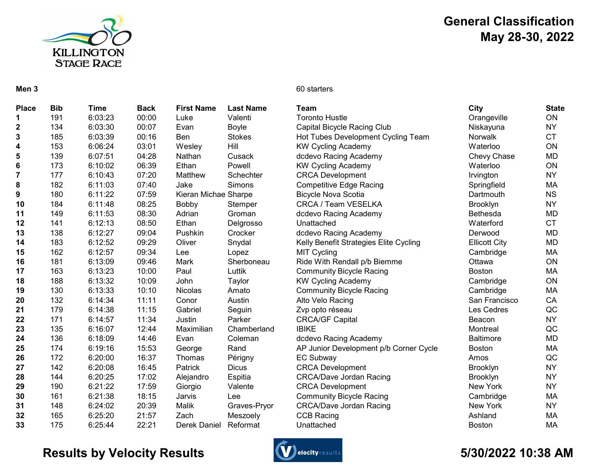

## General Classification May 28-30, 2022

#### Men 3 60 starters

| <b>Place</b>            | <b>Bib</b> | Time    | <b>Back</b> | <b>First Name</b>    | <b>Last Name</b> | Team                                   | City                 | <b>State</b> |
|-------------------------|------------|---------|-------------|----------------------|------------------|----------------------------------------|----------------------|--------------|
| 1.                      | 191        | 6:03:23 | 00:00       | Luke                 | Valenti          | <b>Toronto Hustle</b>                  | Orangeville          | ON           |
| $\mathbf 2$             | 134        | 6:03:30 | 00:07       | Evan                 | Boyle            | Capital Bicycle Racing Club            | Niskayuna            | <b>NY</b>    |
| 3                       | 185        | 6:03:39 | 00:16       | Ben                  | <b>Stokes</b>    | Hot Tubes Development Cycling Team     | Norwalk              | <b>CT</b>    |
| 4                       | 153        | 6:06:24 | 03:01       | Wesley               | Hill             | <b>KW Cycling Academy</b>              | Waterloo             | ON           |
| 5                       | 139        | 6:07:51 | 04:28       | Nathan               | Cusack           | dcdevo Racing Academy                  | Chevy Chase          | <b>MD</b>    |
| 6                       | 173        | 6:10:02 | 06:39       | Ethan                | Powell           | <b>KW Cycling Academy</b>              | Waterloo             | ON           |
| $\overline{\mathbf{7}}$ | 177        | 6:10:43 | 07:20       | Matthew              | Schechter        | <b>CRCA Development</b>                | Irvington            | <b>NY</b>    |
| 8                       | 182        | 6:11:03 | 07:40       | Jake                 | Simons           | <b>Competitive Edge Racing</b>         | Springfield          | MA           |
| 9                       | 180        | 6:11:22 | 07:59       | Kieran Michae Sharpe |                  | <b>Bicycle Nova Scotia</b>             | Dartmouth            | <b>NS</b>    |
| 10                      | 184        | 6:11:48 | 08:25       | Bobby                | Stemper          | CRCA / Team VESELKA                    | Brooklyn             | <b>NY</b>    |
| 11                      | 149        | 6:11:53 | 08:30       | Adrian               | Groman           | dcdevo Racing Academy                  | Bethesda             | <b>MD</b>    |
| 12                      | 141        | 6:12:13 | 08:50       | Ethan                | Delgrosso        | Unattached                             | Waterford            | <b>CT</b>    |
| 13                      | 138        | 6:12:27 | 09:04       | Pushkin              | Crocker          | dcdevo Racing Academy                  | Derwood              | <b>MD</b>    |
| 14                      | 183        | 6:12:52 | 09:29       | Oliver               | Snydal           | Kelly Benefit Strategies Elite Cycling | <b>Ellicott City</b> | <b>MD</b>    |
| 15                      | 162        | 6:12:57 | 09:34       | Lee                  | Lopez            | <b>MIT Cycling</b>                     | Cambridge            | MA           |
| 16                      | 181        | 6:13:09 | 09:46       | Mark                 | Sherboneau       | Ride With Rendall p/b Biemme           | Ottawa               | ON           |
| 17                      | 163        | 6:13:23 | 10:00       | Paul                 | Luttik           | <b>Community Bicycle Racing</b>        | <b>Boston</b>        | MA           |
| 18                      | 188        | 6:13:32 | 10:09       | John                 | Taylor           | <b>KW Cycling Academy</b>              | Cambridge            | ON           |
| 19                      | 130        | 6:13:33 | 10:10       | <b>Nicolas</b>       | Amato            | <b>Community Bicycle Racing</b>        | Cambridge            | MA           |
| 20                      | 132        | 6:14:34 | 11:11       | Conor                | Austin           | Alto Velo Racing                       | San Francisco        | CA           |
| 21                      | 179        | 6:14:38 | 11:15       | Gabriel              | Seguin           | Zvp opto réseau                        | Les Cedres           | QC           |
| 22                      | 171        | 6:14:57 | 11:34       | Justin               | Parker           | <b>CRCA/GF Capital</b>                 | Beacon               | <b>NY</b>    |
| 23                      | 135        | 6:16:07 | 12:44       | Maximilian           | Chamberland      | <b>IBIKE</b>                           | Montreal             | QC           |
| 24                      | 136        | 6:18:09 | 14:46       | Evan                 | Coleman          | dcdevo Racing Academy                  | <b>Baltimore</b>     | <b>MD</b>    |
| 25                      | 174        | 6:19:16 | 15:53       | George               | Rand             | AP Junior Development p/b Corner Cycle | <b>Boston</b>        | MA           |
| 26                      | 172        | 6:20:00 | 16:37       | Thomas               | Périgny          | <b>EC Subway</b>                       | Amos                 | QC           |
| 27                      | 142        | 6:20:08 | 16:45       | Patrick              | <b>Dicus</b>     | <b>CRCA Development</b>                | <b>Brooklyn</b>      | <b>NY</b>    |
| 28                      | 144        | 6:20:25 | 17:02       | Alejandro            | Espitia          | <b>CRCA/Dave Jordan Racing</b>         | Brooklyn             | <b>NY</b>    |
| 29                      | 190        | 6:21:22 | 17:59       | Giorgio              | Valente          | <b>CRCA Development</b>                | New York             | <b>NY</b>    |
| 30                      | 161        | 6:21:38 | 18:15       | Jarvis               | Lee              | <b>Community Bicycle Racing</b>        | Cambridge            | MA           |
| 31                      | 148        | 6:24:02 | 20:39       | Malik                | Graves-Pryor     | <b>CRCA/Dave Jordan Racing</b>         | New York             | <b>NY</b>    |
| 32                      | 165        | 6:25:20 | 21:57       | Zach                 | Meszoely         | <b>CCB Racing</b>                      | Ashland              | MA           |
| 33                      | 175        | 6:25:44 | 22:21       | Derek Daniel         | Reformat         | Unattached                             | <b>Boston</b>        | <b>MA</b>    |

## Results by Velocity Results **Conserversults** Construction of the State of the State of the State of the State of A